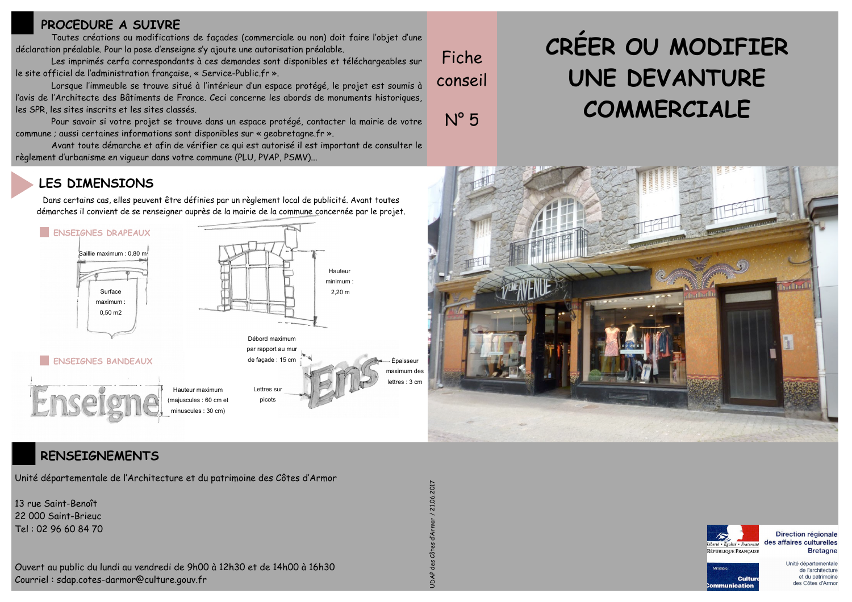## PROCEDURE A SUIVRE

Toutes créations ou modifications de façades (commerciale ou non) doit faire l'objet d'une déclaration préalable. Pour la pose d'enseigne s'y ajoute une autorisation préalable.

Les imprimés cerfa correspondants à ces demandes sont disponibles et téléchargeables sur le site officiel de l'administration française, « Service-Public.fr ».

Lorsque l'immeuble se trouve situé à l'intérieur d'un espace protégé, le projet est soumis à l'avis de l'Architecte des Bâtiments de France. Ceci concerne les abords de monuments historiques, les SPR, les sites inscrits et les sites classés.

Pour savoir si votre projet se trouve dans un espace protégé, contacter la mairie de votre commune ; aussi certaines informations sont disponibles sur « geobretagne fr ».

Avant toute démarche et afin de vérifier ce qui est autorisé il est important de consulter le règlement d'urbanisme en vigueur dans votre commune (PLU, PVAP, PSMV)...

# CREER OU MODIFIER **UNE DEVANTURE** COMMERCIALE

## **LES DIMENSIONS**

Dans certains cas, elles peuvent être définies par un règlement local de publicité. Avant toutes démarches il convient de se renseigner auprès de la mairie de la commune concernée par le projet.





## **RENSEIGNEMENTS**

Unité départementale de l'Architecture et du patrimoine des Côtes d'Armor

13 rue Saint-Benoît 22 000 Saint-Brieuc Tel: 02 96 60 84 70

Ouvert au public du lundi au vendredi de 9h00 à 12h30 et de 14h00 à 16h30 Courriel: sdap.cotes-darmor@culture.gouv.fr

Fiche.

conseil

 $N^{\circ}5$ 



Direction régionale des affaires culturelles **Bretagne** 



Unité départementale de l'architecture et du patrimoine des Côtes d'Armor